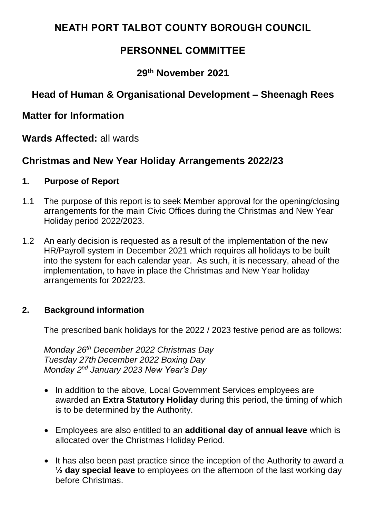# **NEATH PORT TALBOT COUNTY BOROUGH COUNCIL**

# **PERSONNEL COMMITTEE**

## **29th November 2021**

# **Head of Human & Organisational Development – Sheenagh Rees**

## **Matter for Information**

**Wards Affected:** all wards

## **Christmas and New Year Holiday Arrangements 2022/23**

### **1. Purpose of Report**

- 1.1 The purpose of this report is to seek Member approval for the opening/closing arrangements for the main Civic Offices during the Christmas and New Year Holiday period 2022/2023.
- 1.2 An early decision is requested as a result of the implementation of the new HR/Payroll system in December 2021 which requires all holidays to be built into the system for each calendar year. As such, it is necessary, ahead of the implementation, to have in place the Christmas and New Year holiday arrangements for 2022/23.

### **2. Background information**

The prescribed bank holidays for the 2022 / 2023 festive period are as follows:

*Monday 26 th December 2022 Christmas Day Tuesday 27th December 2022 Boxing Day Monday 2nd January 2023 New Year's Day* 

- In addition to the above, Local Government Services employees are awarded an **Extra Statutory Holiday** during this period, the timing of which is to be determined by the Authority.
- Employees are also entitled to an **additional day of annual leave** which is allocated over the Christmas Holiday Period.
- It has also been past practice since the inception of the Authority to award a **½ day special leave** to employees on the afternoon of the last working day before Christmas.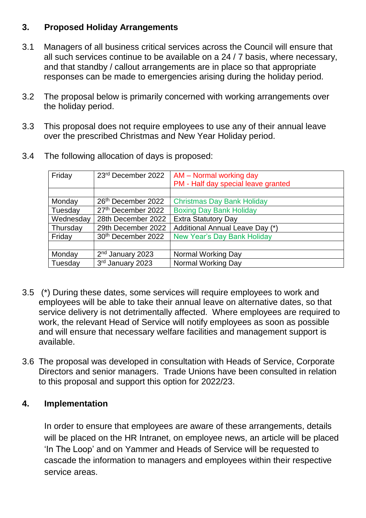## **3. Proposed Holiday Arrangements**

- 3.1 Managers of all business critical services across the Council will ensure that all such services continue to be available on a 24 / 7 basis, where necessary, and that standby / callout arrangements are in place so that appropriate responses can be made to emergencies arising during the holiday period.
- 3.2 The proposal below is primarily concerned with working arrangements over the holiday period.
- 3.3 This proposal does not require employees to use any of their annual leave over the prescribed Christmas and New Year Holiday period.

| Friday    | 23rd December 2022             | AM - Normal working day             |
|-----------|--------------------------------|-------------------------------------|
|           |                                | PM - Half day special leave granted |
|           |                                |                                     |
| Monday    | 26th December 2022             | <b>Christmas Day Bank Holiday</b>   |
| Tuesday   | 27th December 2022             | <b>Boxing Day Bank Holiday</b>      |
| Wednesday | 28th December 2022             | <b>Extra Statutory Day</b>          |
| Thursday  | 29th December 2022             | Additional Annual Leave Day (*)     |
| Friday    | 30 <sup>th</sup> December 2022 | <b>New Year's Day Bank Holiday</b>  |
|           |                                |                                     |
| Monday    | 2 <sup>nd</sup> January 2023   | Normal Working Day                  |
| Tuesday   | 3rd January 2023               | Normal Working Day                  |

3.4 The following allocation of days is proposed:

- 3.5 (\*) During these dates, some services will require employees to work and employees will be able to take their annual leave on alternative dates, so that service delivery is not detrimentally affected. Where employees are required to work, the relevant Head of Service will notify employees as soon as possible and will ensure that necessary welfare facilities and management support is available.
- 3.6 The proposal was developed in consultation with Heads of Service, Corporate Directors and senior managers. Trade Unions have been consulted in relation to this proposal and support this option for 2022/23.

## **4. Implementation**

In order to ensure that employees are aware of these arrangements, details will be placed on the HR Intranet, on employee news, an article will be placed 'In The Loop' and on Yammer and Heads of Service will be requested to cascade the information to managers and employees within their respective service areas.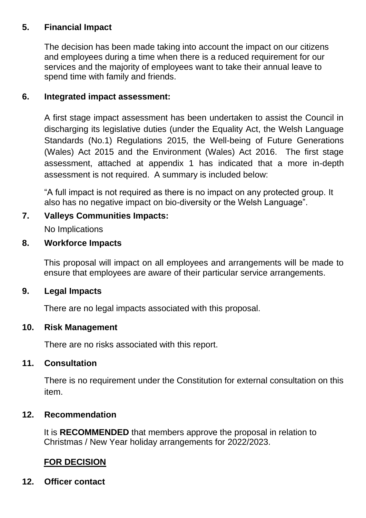## **5. Financial Impact**

The decision has been made taking into account the impact on our citizens and employees during a time when there is a reduced requirement for our services and the majority of employees want to take their annual leave to spend time with family and friends.

## **6. Integrated impact assessment:**

A first stage impact assessment has been undertaken to assist the Council in discharging its legislative duties (under the Equality Act, the Welsh Language Standards (No.1) Regulations 2015, the Well-being of Future Generations (Wales) Act 2015 and the Environment (Wales) Act 2016. The first stage assessment, attached at appendix 1 has indicated that a more in-depth assessment is not required. A summary is included below:

"A full impact is not required as there is no impact on any protected group. It also has no negative impact on bio-diversity or the Welsh Language".

## **7. Valleys Communities Impacts:**

No Implications

### **8. Workforce Impacts**

This proposal will impact on all employees and arrangements will be made to ensure that employees are aware of their particular service arrangements.

### **9. Legal Impacts**

There are no legal impacts associated with this proposal.

### **10. Risk Management**

There are no risks associated with this report.

### **11. Consultation**

There is no requirement under the Constitution for external consultation on this item.

### **12. Recommendation**

It is **RECOMMENDED** that members approve the proposal in relation to Christmas / New Year holiday arrangements for 2022/2023.

### **FOR DECISION**

**12. Officer contact**